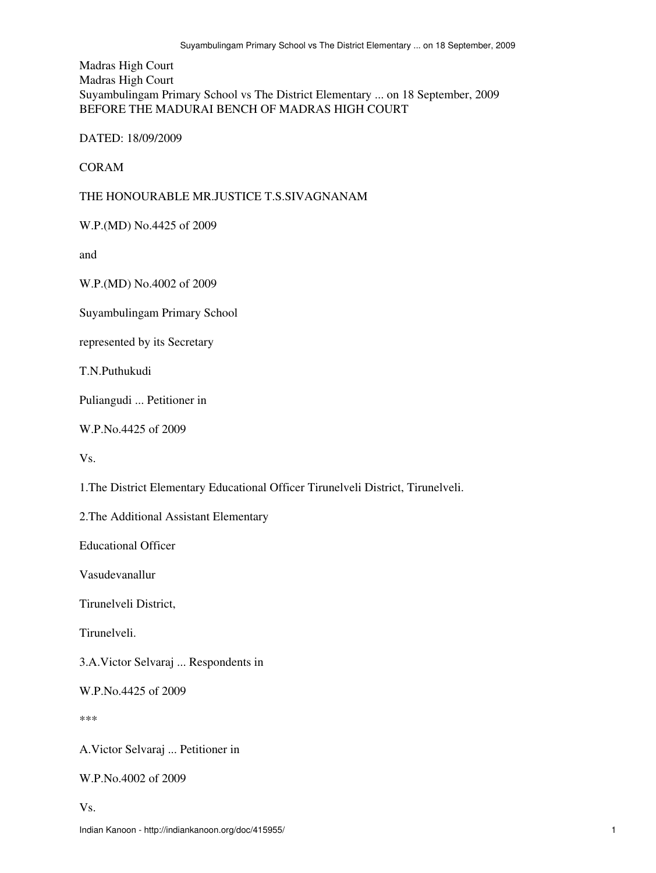Madras High Court Madras High Court Suyambulingam Primary School vs The District Elementary ... on 18 September, 2009 BEFORE THE MADURAI BENCH OF MADRAS HIGH COURT

DATED: 18/09/2009

CORAM

THE HONOURABLE MR.JUSTICE T.S.SIVAGNANAM

W.P.(MD) No.4425 of 2009

and

W.P.(MD) No.4002 of 2009

Suyambulingam Primary School

represented by its Secretary

T.N.Puthukudi

Puliangudi ... Petitioner in

W.P.No.4425 of 2009

Vs.

1.The District Elementary Educational Officer Tirunelveli District, Tirunelveli.

2.The Additional Assistant Elementary

Educational Officer

Vasudevanallur

Tirunelveli District,

Tirunelveli.

3.A.Victor Selvaraj ... Respondents in

W.P.No.4425 of 2009

\*\*\*

A.Victor Selvaraj ... Petitioner in

W.P.No.4002 of 2009

Vs.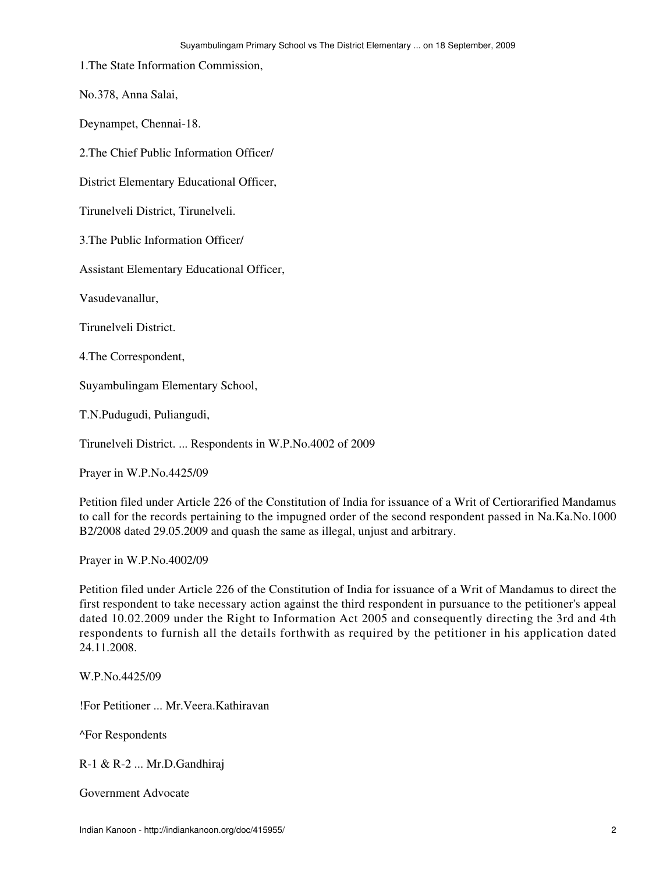1.The State Information Commission,

No.378, Anna Salai,

Deynampet, Chennai-18.

2.The Chief Public Information Officer/

District Elementary Educational Officer,

Tirunelveli District, Tirunelveli.

3.The Public Information Officer/

Assistant Elementary Educational Officer,

Vasudevanallur,

Tirunelveli District.

4.The Correspondent,

Suyambulingam Elementary School,

T.N.Pudugudi, Puliangudi,

Tirunelveli District. ... Respondents in W.P.No.4002 of 2009

Prayer in W.P.No.4425/09

Petition filed under Article 226 of the Constitution of India for issuance of a Writ of Certiorarified Mandamus to call for the records pertaining to the impugned order of the second respondent passed in Na.Ka.No.1000 B2/2008 dated 29.05.2009 and quash the same as illegal, unjust and arbitrary.

Prayer in W.P.No.4002/09

Petition filed under Article 226 of the Constitution of India for issuance of a Writ of Mandamus to direct the first respondent to take necessary action against the third respondent in pursuance to the petitioner's appeal dated 10.02.2009 under the Right to Information Act 2005 and consequently directing the 3rd and 4th respondents to furnish all the details forthwith as required by the petitioner in his application dated 24.11.2008.

W.P.No.4425/09

!For Petitioner ... Mr.Veera.Kathiravan

^For Respondents

R-1 & R-2 ... Mr.D.Gandhiraj

Government Advocate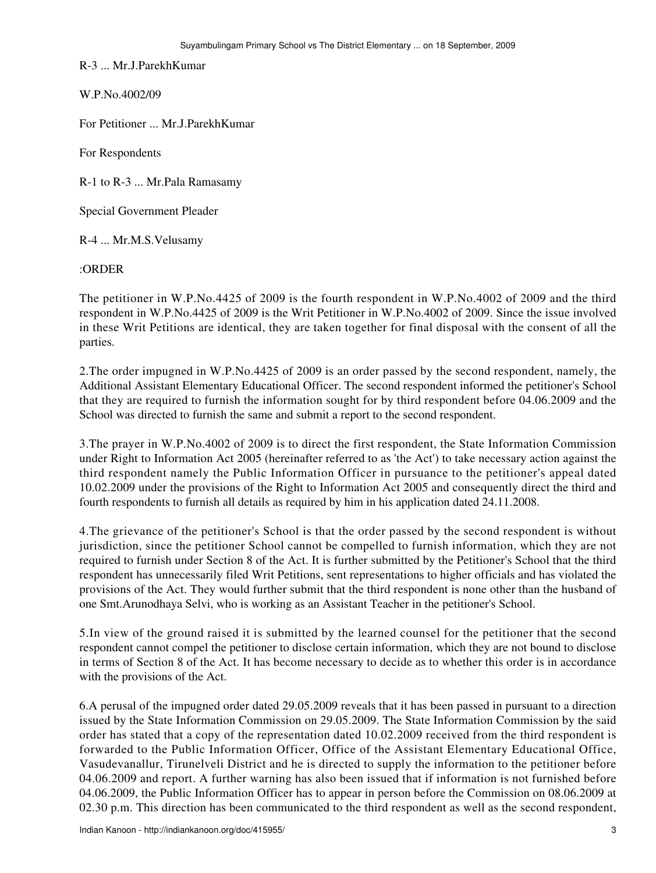R-3 ... Mr.J.ParekhKumar

W.P.No.4002/09

For Petitioner ... Mr.J.ParekhKumar

For Respondents

R-1 to R-3 ... Mr.Pala Ramasamy

Special Government Pleader

R-4 ... Mr.M.S.Velusamy

:ORDER

The petitioner in W.P.No.4425 of 2009 is the fourth respondent in W.P.No.4002 of 2009 and the third respondent in W.P.No.4425 of 2009 is the Writ Petitioner in W.P.No.4002 of 2009. Since the issue involved in these Writ Petitions are identical, they are taken together for final disposal with the consent of all the parties.

2.The order impugned in W.P.No.4425 of 2009 is an order passed by the second respondent, namely, the Additional Assistant Elementary Educational Officer. The second respondent informed the petitioner's School that they are required to furnish the information sought for by third respondent before 04.06.2009 and the School was directed to furnish the same and submit a report to the second respondent.

3.The prayer in W.P.No.4002 of 2009 is to direct the first respondent, the State Information Commission under Right to Information Act 2005 (hereinafter referred to as 'the Act') to take necessary action against the third respondent namely the Public Information Officer in pursuance to the petitioner's appeal dated 10.02.2009 under the provisions of the Right to Information Act 2005 and consequently direct the third and fourth respondents to furnish all details as required by him in his application dated 24.11.2008.

4.The grievance of the petitioner's School is that the order passed by the second respondent is without jurisdiction, since the petitioner School cannot be compelled to furnish information, which they are not required to furnish under Section 8 of the Act. It is further submitted by the Petitioner's School that the third respondent has unnecessarily filed Writ Petitions, sent representations to higher officials and has violated the provisions of the Act. They would further submit that the third respondent is none other than the husband of one Smt.Arunodhaya Selvi, who is working as an Assistant Teacher in the petitioner's School.

5.In view of the ground raised it is submitted by the learned counsel for the petitioner that the second respondent cannot compel the petitioner to disclose certain information, which they are not bound to disclose in terms of Section 8 of the Act. It has become necessary to decide as to whether this order is in accordance with the provisions of the Act.

6.A perusal of the impugned order dated 29.05.2009 reveals that it has been passed in pursuant to a direction issued by the State Information Commission on 29.05.2009. The State Information Commission by the said order has stated that a copy of the representation dated 10.02.2009 received from the third respondent is forwarded to the Public Information Officer, Office of the Assistant Elementary Educational Office, Vasudevanallur, Tirunelveli District and he is directed to supply the information to the petitioner before 04.06.2009 and report. A further warning has also been issued that if information is not furnished before 04.06.2009, the Public Information Officer has to appear in person before the Commission on 08.06.2009 at 02.30 p.m. This direction has been communicated to the third respondent as well as the second respondent,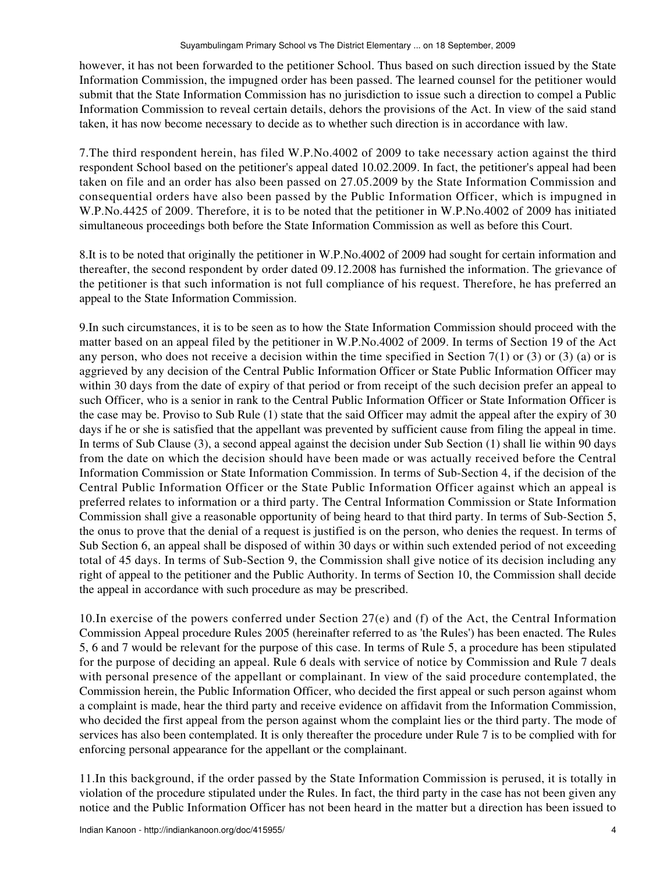however, it has not been forwarded to the petitioner School. Thus based on such direction issued by the State Information Commission, the impugned order has been passed. The learned counsel for the petitioner would submit that the State Information Commission has no jurisdiction to issue such a direction to compel a Public Information Commission to reveal certain details, dehors the provisions of the Act. In view of the said stand taken, it has now become necessary to decide as to whether such direction is in accordance with law.

7.The third respondent herein, has filed W.P.No.4002 of 2009 to take necessary action against the third respondent School based on the petitioner's appeal dated 10.02.2009. In fact, the petitioner's appeal had been taken on file and an order has also been passed on 27.05.2009 by the State Information Commission and consequential orders have also been passed by the Public Information Officer, which is impugned in W.P.No.4425 of 2009. Therefore, it is to be noted that the petitioner in W.P.No.4002 of 2009 has initiated simultaneous proceedings both before the State Information Commission as well as before this Court.

8.It is to be noted that originally the petitioner in W.P.No.4002 of 2009 had sought for certain information and thereafter, the second respondent by order dated 09.12.2008 has furnished the information. The grievance of the petitioner is that such information is not full compliance of his request. Therefore, he has preferred an appeal to the State Information Commission.

9.In such circumstances, it is to be seen as to how the State Information Commission should proceed with the matter based on an appeal filed by the petitioner in W.P.No.4002 of 2009. In terms of Section 19 of the Act any person, who does not receive a decision within the time specified in Section 7(1) or (3) or (3) (a) or is aggrieved by any decision of the Central Public Information Officer or State Public Information Officer may within 30 days from the date of expiry of that period or from receipt of the such decision prefer an appeal to such Officer, who is a senior in rank to the Central Public Information Officer or State Information Officer is the case may be. Proviso to Sub Rule (1) state that the said Officer may admit the appeal after the expiry of 30 days if he or she is satisfied that the appellant was prevented by sufficient cause from filing the appeal in time. In terms of Sub Clause (3), a second appeal against the decision under Sub Section (1) shall lie within 90 days from the date on which the decision should have been made or was actually received before the Central Information Commission or State Information Commission. In terms of Sub-Section 4, if the decision of the Central Public Information Officer or the State Public Information Officer against which an appeal is preferred relates to information or a third party. The Central Information Commission or State Information Commission shall give a reasonable opportunity of being heard to that third party. In terms of Sub-Section 5, the onus to prove that the denial of a request is justified is on the person, who denies the request. In terms of Sub Section 6, an appeal shall be disposed of within 30 days or within such extended period of not exceeding total of 45 days. In terms of Sub-Section 9, the Commission shall give notice of its decision including any right of appeal to the petitioner and the Public Authority. In terms of Section 10, the Commission shall decide the appeal in accordance with such procedure as may be prescribed.

10.In exercise of the powers conferred under Section 27(e) and (f) of the Act, the Central Information Commission Appeal procedure Rules 2005 (hereinafter referred to as 'the Rules') has been enacted. The Rules 5, 6 and 7 would be relevant for the purpose of this case. In terms of Rule 5, a procedure has been stipulated for the purpose of deciding an appeal. Rule 6 deals with service of notice by Commission and Rule 7 deals with personal presence of the appellant or complainant. In view of the said procedure contemplated, the Commission herein, the Public Information Officer, who decided the first appeal or such person against whom a complaint is made, hear the third party and receive evidence on affidavit from the Information Commission, who decided the first appeal from the person against whom the complaint lies or the third party. The mode of services has also been contemplated. It is only thereafter the procedure under Rule 7 is to be complied with for enforcing personal appearance for the appellant or the complainant.

11.In this background, if the order passed by the State Information Commission is perused, it is totally in violation of the procedure stipulated under the Rules. In fact, the third party in the case has not been given any notice and the Public Information Officer has not been heard in the matter but a direction has been issued to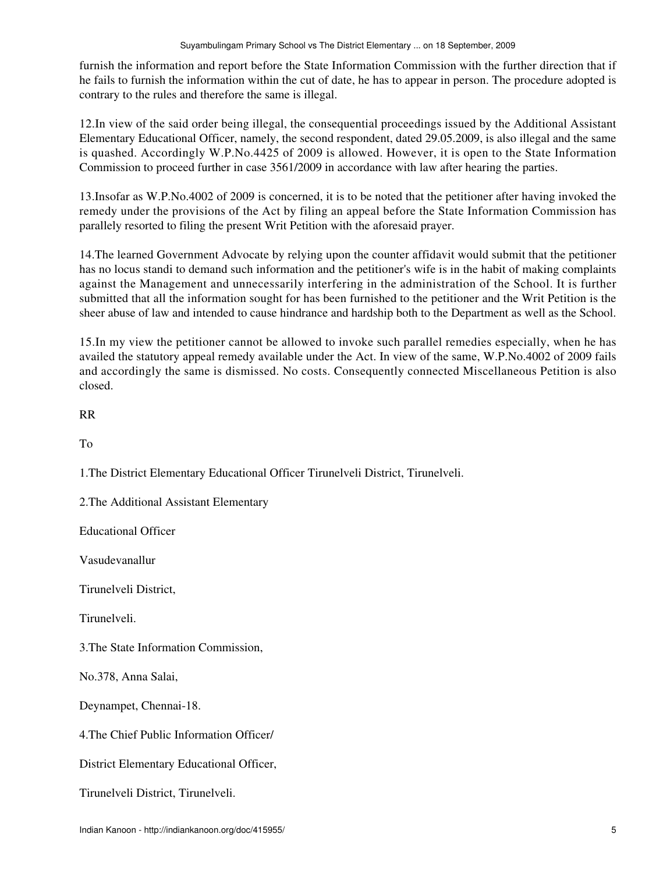furnish the information and report before the State Information Commission with the further direction that if he fails to furnish the information within the cut of date, he has to appear in person. The procedure adopted is contrary to the rules and therefore the same is illegal.

12.In view of the said order being illegal, the consequential proceedings issued by the Additional Assistant Elementary Educational Officer, namely, the second respondent, dated 29.05.2009, is also illegal and the same is quashed. Accordingly W.P.No.4425 of 2009 is allowed. However, it is open to the State Information Commission to proceed further in case 3561/2009 in accordance with law after hearing the parties.

13.Insofar as W.P.No.4002 of 2009 is concerned, it is to be noted that the petitioner after having invoked the remedy under the provisions of the Act by filing an appeal before the State Information Commission has parallely resorted to filing the present Writ Petition with the aforesaid prayer.

14.The learned Government Advocate by relying upon the counter affidavit would submit that the petitioner has no locus standi to demand such information and the petitioner's wife is in the habit of making complaints against the Management and unnecessarily interfering in the administration of the School. It is further submitted that all the information sought for has been furnished to the petitioner and the Writ Petition is the sheer abuse of law and intended to cause hindrance and hardship both to the Department as well as the School.

15.In my view the petitioner cannot be allowed to invoke such parallel remedies especially, when he has availed the statutory appeal remedy available under the Act. In view of the same, W.P.No.4002 of 2009 fails and accordingly the same is dismissed. No costs. Consequently connected Miscellaneous Petition is also closed.

RR

To

1.The District Elementary Educational Officer Tirunelveli District, Tirunelveli.

2.The Additional Assistant Elementary

Educational Officer

Vasudevanallur

Tirunelveli District,

Tirunelveli.

3.The State Information Commission,

No.378, Anna Salai,

Deynampet, Chennai-18.

4.The Chief Public Information Officer/

District Elementary Educational Officer,

Tirunelveli District, Tirunelveli.